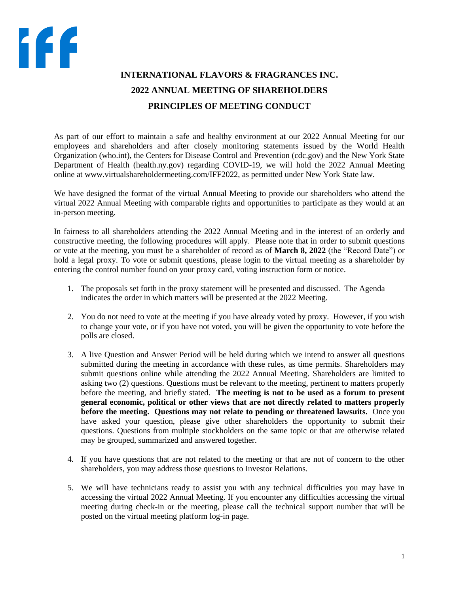## **INTERNATIONAL FLAVORS & FRAGRANCES INC. 2022 ANNUAL MEETING OF SHAREHOLDERS PRINCIPLES OF MEETING CONDUCT**

As part of our effort to maintain a safe and healthy environment at our 2022 Annual Meeting for our employees and shareholders and after closely monitoring statements issued by the World Health Organization (who.int), the Centers for Disease Control and Prevention (cdc.gov) and the New York State Department of Health (health.ny.gov) regarding COVID-19, we will hold the 2022 Annual Meeting online at www.virtualshareholdermeeting.com/IFF2022, as permitted under New York State law.

We have designed the format of the virtual Annual Meeting to provide our shareholders who attend the virtual 2022 Annual Meeting with comparable rights and opportunities to participate as they would at an in-person meeting.

In fairness to all shareholders attending the 2022 Annual Meeting and in the interest of an orderly and constructive meeting, the following procedures will apply. Please note that in order to submit questions or vote at the meeting, you must be a shareholder of record as of **March 8, 2022** (the "Record Date") or hold a legal proxy. To vote or submit questions, please login to the virtual meeting as a shareholder by entering the control number found on your proxy card, voting instruction form or notice.

- 1. The proposals set forth in the proxy statement will be presented and discussed. The Agenda indicates the order in which matters will be presented at the 2022 Meeting.
- 2. You do not need to vote at the meeting if you have already voted by proxy. However, if you wish to change your vote, or if you have not voted, you will be given the opportunity to vote before the polls are closed.
- 3. A live Question and Answer Period will be held during which we intend to answer all questions submitted during the meeting in accordance with these rules, as time permits. Shareholders may submit questions online while attending the 2022 Annual Meeting. Shareholders are limited to asking two (2) questions. Questions must be relevant to the meeting, pertinent to matters properly before the meeting, and briefly stated. **The meeting is not to be used as a forum to present general economic, political or other views that are not directly related to matters properly before the meeting. Questions may not relate to pending or threatened lawsuits.** Once you have asked your question, please give other shareholders the opportunity to submit their questions. Questions from multiple stockholders on the same topic or that are otherwise related may be grouped, summarized and answered together.
- 4. If you have questions that are not related to the meeting or that are not of concern to the other shareholders, you may address those questions to Investor Relations.
- 5. We will have technicians ready to assist you with any technical difficulties you may have in accessing the virtual 2022 Annual Meeting. If you encounter any difficulties accessing the virtual meeting during check-in or the meeting, please call the technical support number that will be posted on the virtual meeting platform log-in page.